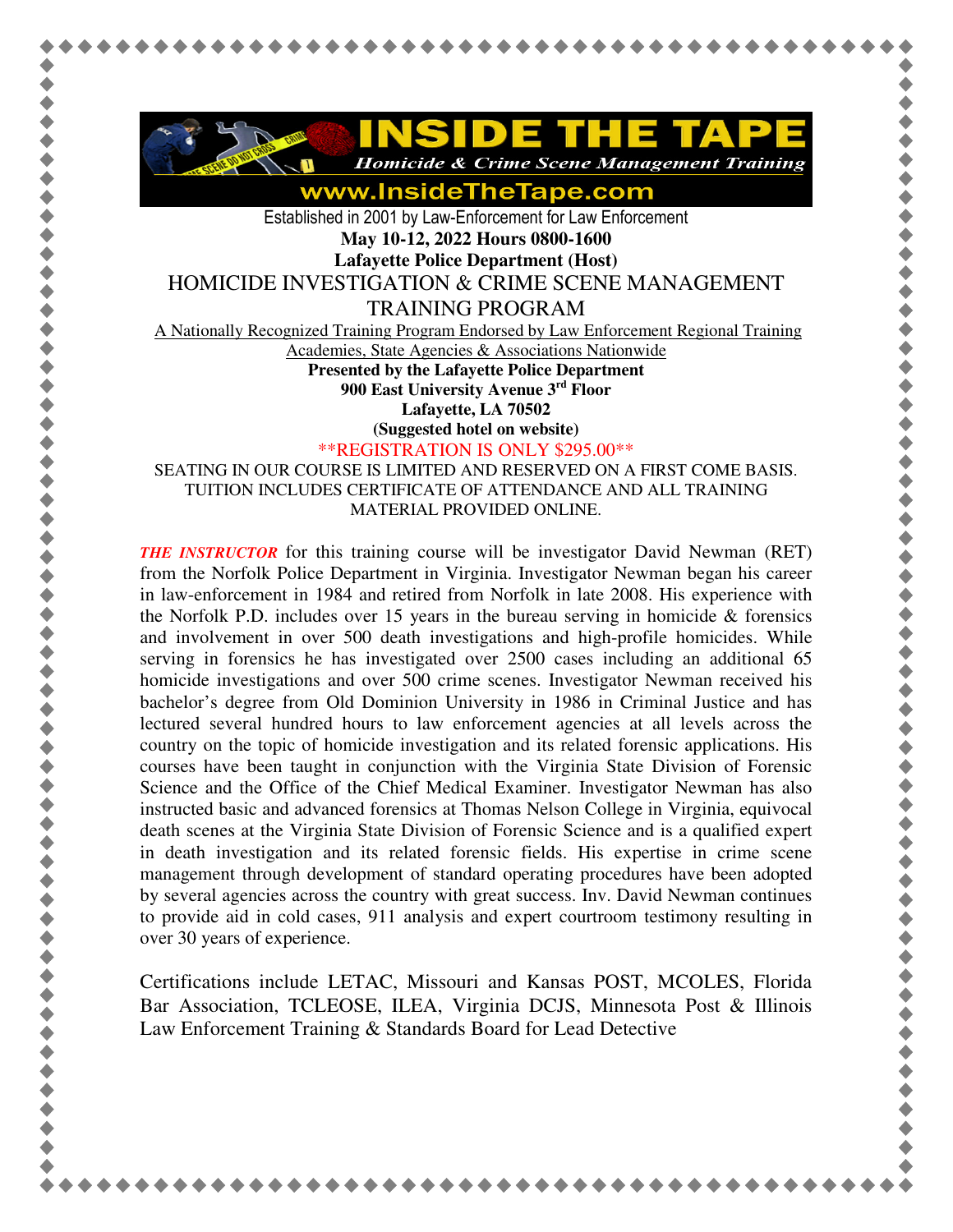

www.InsideTheTape.com

Established in 2001 by Law-Enforcement for Law Enforcement **May 10-12, 2022 Hours 0800-1600** 

**Lafayette Police Department (Host)** 

HOMICIDE INVESTIGATION & CRIME SCENE MANAGEMENT

TRAINING PROGRAM

A Nationally Recognized Training Program Endorsed by Law Enforcement Regional Training

Academies, State Agencies & Associations Nationwide

**Presented by the Lafayette Police Department 900 East University Avenue 3rd Floor** 

**Lafayette, LA 70502** 

**(Suggested hotel on website)**

\*\*REGISTRATION IS ONLY \$295.00\*\*

SEATING IN OUR COURSE IS LIMITED AND RESERVED ON A FIRST COME BASIS. TUITION INCLUDES CERTIFICATE OF ATTENDANCE AND ALL TRAINING MATERIAL PROVIDED ONLINE.

*THE INSTRUCTOR* for this training course will be investigator David Newman (RET) from the Norfolk Police Department in Virginia. Investigator Newman began his career in law-enforcement in 1984 and retired from Norfolk in late 2008. His experience with the Norfolk P.D. includes over 15 years in the bureau serving in homicide  $\&$  forensics and involvement in over 500 death investigations and high-profile homicides. While serving in forensics he has investigated over 2500 cases including an additional 65 homicide investigations and over 500 crime scenes. Investigator Newman received his bachelor's degree from Old Dominion University in 1986 in Criminal Justice and has lectured several hundred hours to law enforcement agencies at all levels across the country on the topic of homicide investigation and its related forensic applications. His courses have been taught in conjunction with the Virginia State Division of Forensic Science and the Office of the Chief Medical Examiner. Investigator Newman has also instructed basic and advanced forensics at Thomas Nelson College in Virginia, equivocal death scenes at the Virginia State Division of Forensic Science and is a qualified expert in death investigation and its related forensic fields. His expertise in crime scene management through development of standard operating procedures have been adopted by several agencies across the country with great success. Inv. David Newman continues to provide aid in cold cases, 911 analysis and expert courtroom testimony resulting in over 30 years of experience.

Certifications include LETAC, Missouri and Kansas POST, MCOLES, Florida Bar Association, TCLEOSE, ILEA, Virginia DCJS, Minnesota Post & Illinois Law Enforcement Training & Standards Board for Lead Detective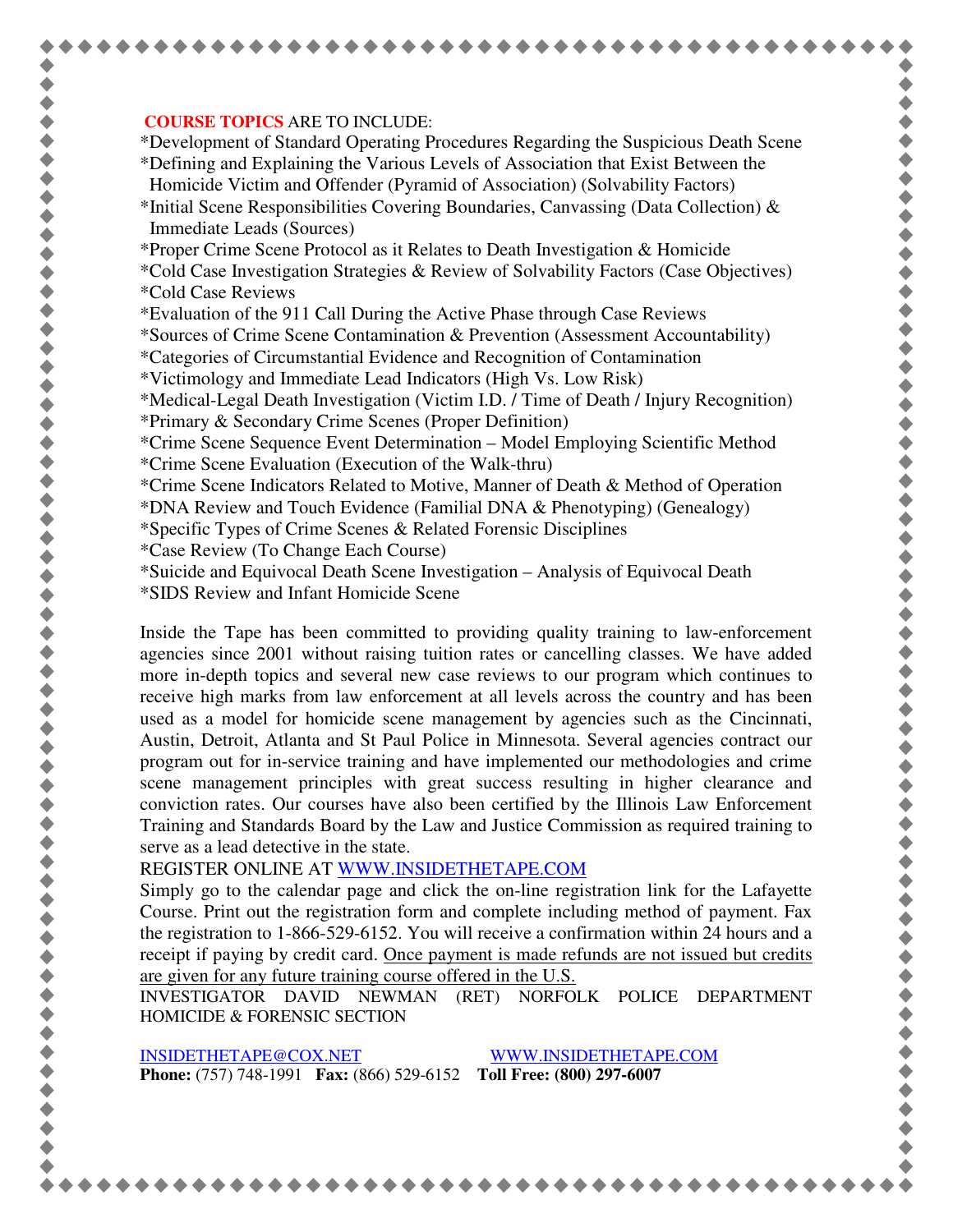## **COURSE TOPICS** ARE TO INCLUDE:

\*Development of Standard Operating Procedures Regarding the Suspicious Death Scene \*Defining and Explaining the Various Levels of Association that Exist Between the Homicide Victim and Offender (Pyramid of Association) (Solvability Factors)

- \*Initial Scene Responsibilities Covering Boundaries, Canvassing (Data Collection)  $\&$ Immediate Leads (Sources)
- \*Proper Crime Scene Protocol as it Relates to Death Investigation & Homicide
- \*Cold Case Investigation Strategies & Review of Solvability Factors (Case Objectives) \*Cold Case Reviews
- \*Evaluation of the 911 Call During the Active Phase through Case Reviews

\*Sources of Crime Scene Contamination & Prevention (Assessment Accountability)

- \*Categories of Circumstantial Evidence and Recognition of Contamination
- \*Victimology and Immediate Lead Indicators (High Vs. Low Risk)

\*Medical-Legal Death Investigation (Victim I.D. / Time of Death / Injury Recognition)

- \*Primary & Secondary Crime Scenes (Proper Definition)
- \*Crime Scene Sequence Event Determination Model Employing Scientific Method \*Crime Scene Evaluation (Execution of the Walk-thru)
- \*Crime Scene Indicators Related to Motive, Manner of Death & Method of Operation
- \*DNA Review and Touch Evidence (Familial DNA & Phenotyping) (Genealogy)
- \*Specific Types of Crime Scenes & Related Forensic Disciplines
- \*Case Review (To Change Each Course)
- \*Suicide and Equivocal Death Scene Investigation Analysis of Equivocal Death
- \*SIDS Review and Infant Homicide Scene

Inside the Tape has been committed to providing quality training to law-enforcement agencies since 2001 without raising tuition rates or cancelling classes. We have added more in-depth topics and several new case reviews to our program which continues to receive high marks from law enforcement at all levels across the country and has been used as a model for homicide scene management by agencies such as the Cincinnati, Austin, Detroit, Atlanta and St Paul Police in Minnesota. Several agencies contract our program out for in-service training and have implemented our methodologies and crime scene management principles with great success resulting in higher clearance and conviction rates. Our courses have also been certified by the Illinois Law Enforcement Training and Standards Board by the Law and Justice Commission as required training to serve as a lead detective in the state.

REGISTER ONLINE AT WWW.INSIDETHETAPE.COM

Simply go to the calendar page and click the on-line registration link for the Lafayette Course. Print out the registration form and complete including method of payment. Fax the registration to 1-866-529-6152. You will receive a confirmation within 24 hours and a receipt if paying by credit card. Once payment is made refunds are not issued but credits are given for any future training course offered in the U.S.

INVESTIGATOR DAVID NEWMAN (RET) NORFOLK POLICE DEPARTMENT HOMICIDE & FORENSIC SECTION

INSIDETHETAPE@COX.NET WWW.INSIDETHETAPE.COM **Phone:** (757) 748-1991 **Fax:** (866) 529-6152 **Toll Free: (800) 297-6007**